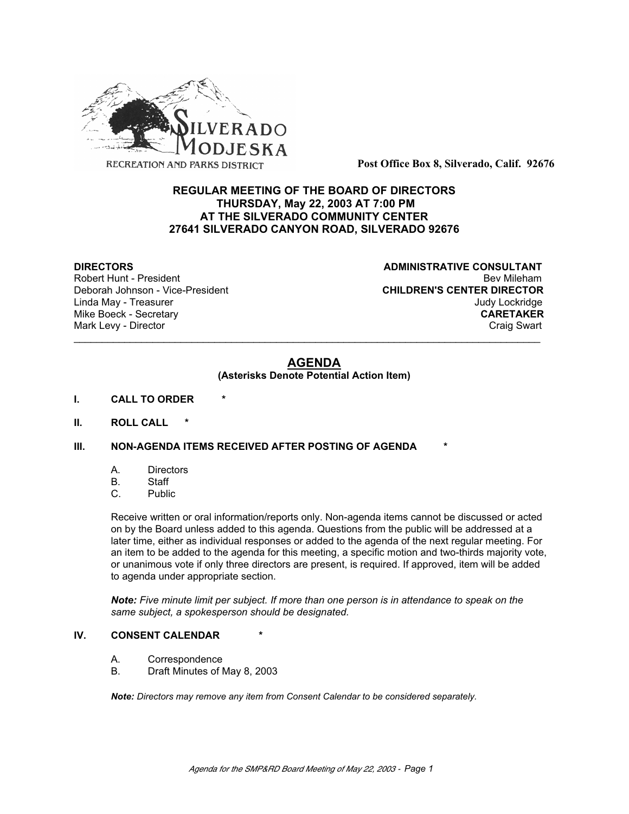

**Post Office Box 8, Silverado, Calif. 92676**

# **REGULAR MEETING OF THE BOARD OF DIRECTORS THURSDAY, May 22, 2003 AT 7:00 PM AT THE SILVERADO COMMUNITY CENTER 27641 SILVERADO CANYON ROAD, SILVERADO 92676**

**DIRECTORS CONSULTANT** Robert Hunt - President and Exercise of the Sevilleham Robert Hunt - President and Bev Mileham Bev Mileham Bev<br>CHILDREN'S CENTER DIRECTOR **CHILDREN'S CENTER DIRECTOR** Linda May - Treasurer Judy Lockridge Mike Boeck - Secretary **CARETAKER** Mark Levy - Director **Craig Swart** Craig Swart Craig Swart Craig Swart

# **AGENDA**

\_\_\_\_\_\_\_\_\_\_\_\_\_\_\_\_\_\_\_\_\_\_\_\_\_\_\_\_\_\_\_\_\_\_\_\_\_\_\_\_\_\_\_\_\_\_\_\_\_\_\_\_\_\_\_\_\_\_\_\_\_\_\_\_\_\_\_\_\_\_\_\_\_\_\_\_\_\_\_\_\_\_\_

## **(Asterisks Denote Potential Action Item)**

- **I. CALL TO ORDER \***
- **II. ROLL CALL \***

## **III. NON-AGENDA ITEMS RECEIVED AFTER POSTING OF AGENDA**

- A. Directors
- B. Staff
- C. Public

Receive written or oral information/reports only. Non-agenda items cannot be discussed or acted on by the Board unless added to this agenda. Questions from the public will be addressed at a later time, either as individual responses or added to the agenda of the next regular meeting. For an item to be added to the agenda for this meeting, a specific motion and two-thirds majority vote, or unanimous vote if only three directors are present, is required. If approved, item will be added to agenda under appropriate section.

*Note: Five minute limit per subject. If more than one person is in attendance to speak on the same subject, a spokesperson should be designated.*

## **IV.** CONSENT CALENDAR

- A. Correspondence
- B. Draft Minutes of May 8, 2003

*Note: Directors may remove any item from Consent Calendar to be considered separately.*